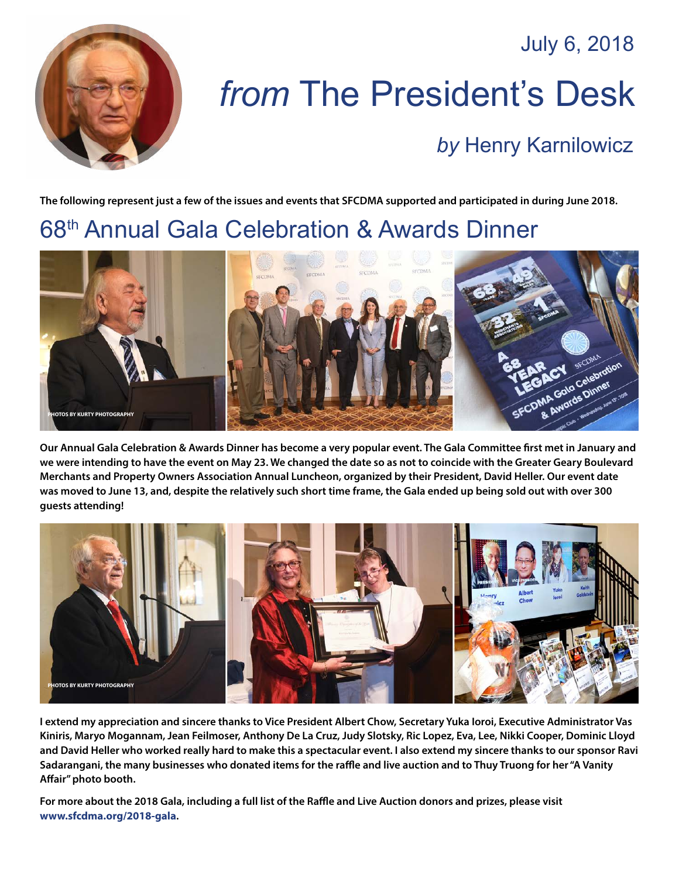July 6, 2018



# *from* The President's Desk

#### *by* [Henry Karnilowicz](mailto:henry@sfcdma.org)

**The following represent just a few of the issues and events that SFCDMA supported and participated in during June 2018.**

## 68th Annual Gala Celebration & Awards Dinner



**Our Annual Gala Celebration & Awards Dinner has become a very popular event. The Gala Committee first met in January and we were intending to have the event on May 23. We changed the date so as not to coincide with the Greater Geary Boulevard Merchants and Property Owners Association Annual Luncheon, organized by their President, David Heller. Our event date was moved to June 13, and, despite the relatively such short time frame, the Gala ended up being sold out with over 300 guests attending!**



**I extend my appreciation and sincere thanks to Vice President Albert Chow, Secretary Yuka Ioroi, Executive Administrator Vas Kiniris, Maryo Mogannam, Jean Feilmoser, Anthony De La Cruz, Judy Slotsky, Ric Lopez, Eva, Lee, Nikki Cooper, Dominic Lloyd and David Heller who worked really hard to make this a spectacular event. I also extend my sincere thanks to our sponsor Ravi Sadarangani, the many businesses who donated items for the raffle and live auction and to Thuy Truong for her "A Vanity Affair" photo booth.**

**For more about the 2018 Gala, including a full list of the Raffle and Live Auction donors and prizes, please visit <www.sfcdma.org/2018-gala>.**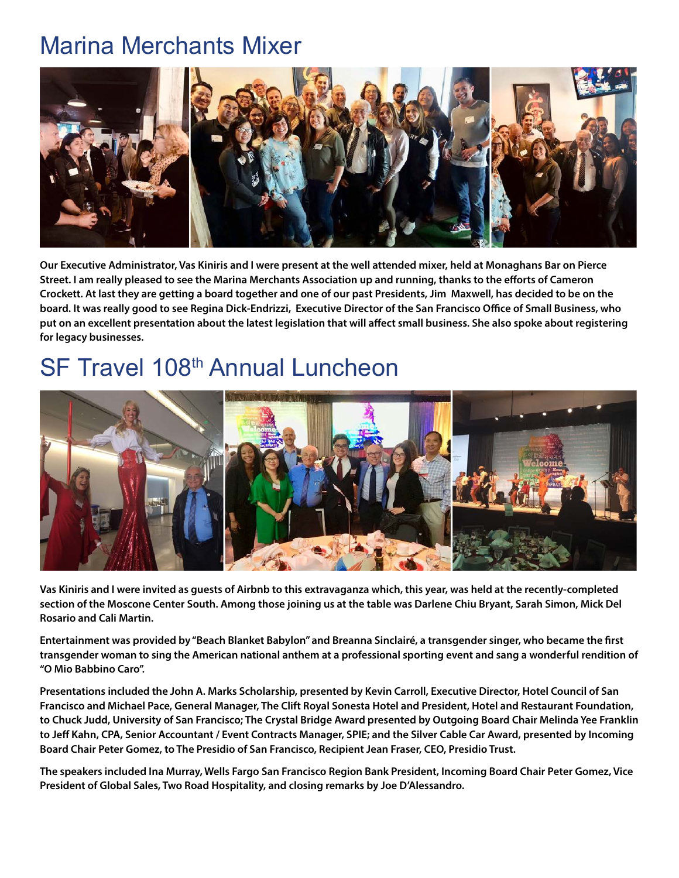#### Marina Merchants Mixer



**Our Executive Administrator, Vas Kiniris and I were present at the well attended mixer, held at Monaghans Bar on Pierce Street. I am really pleased to see the Marina Merchants Association up and running, thanks to the efforts of Cameron Crockett. At last they are getting a board together and one of our past Presidents, Jim Maxwell, has decided to be on the board. It was really good to see Regina Dick-Endrizzi, Executive Director of the San Francisco Office of Small Business, who put on an excellent presentation about the latest legislation that will affect small business. She also spoke about registering for legacy businesses.**

## SF Travel 108<sup>th</sup> Annual Luncheon



**Vas Kiniris and I were invited as guests of Airbnb to this extravaganza which, this year, was held at the recently-completed section of the Moscone Center South. Among those joining us at the table was Darlene Chiu Bryant, Sarah Simon, Mick Del Rosario and Cali Martin.**

**Entertainment was provided by "Beach Blanket Babylon" and Breanna Sinclairé, a transgender singer, who became the first transgender woman to sing the American national anthem at a professional sporting event and sang a wonderful rendition of "O Mio Babbino Caro".**

**Presentations included the John A. Marks Scholarship, presented by Kevin Carroll, Executive Director, Hotel Council of San Francisco and Michael Pace, General Manager, The Clift Royal Sonesta Hotel and President, Hotel and Restaurant Foundation, to Chuck Judd, University of San Francisco; The Crystal Bridge Award presented by Outgoing Board Chair Melinda Yee Franklin to Jeff Kahn, CPA, Senior Accountant / Event Contracts Manager, SPIE; and the Silver Cable Car Award, presented by Incoming Board Chair Peter Gomez, to The Presidio of San Francisco, Recipient Jean Fraser, CEO, Presidio Trust.** 

**The speakers included Ina Murray, Wells Fargo San Francisco Region Bank President, Incoming Board Chair Peter Gomez, Vice President of Global Sales, Two Road Hospitality, and closing remarks by Joe D'Alessandro.**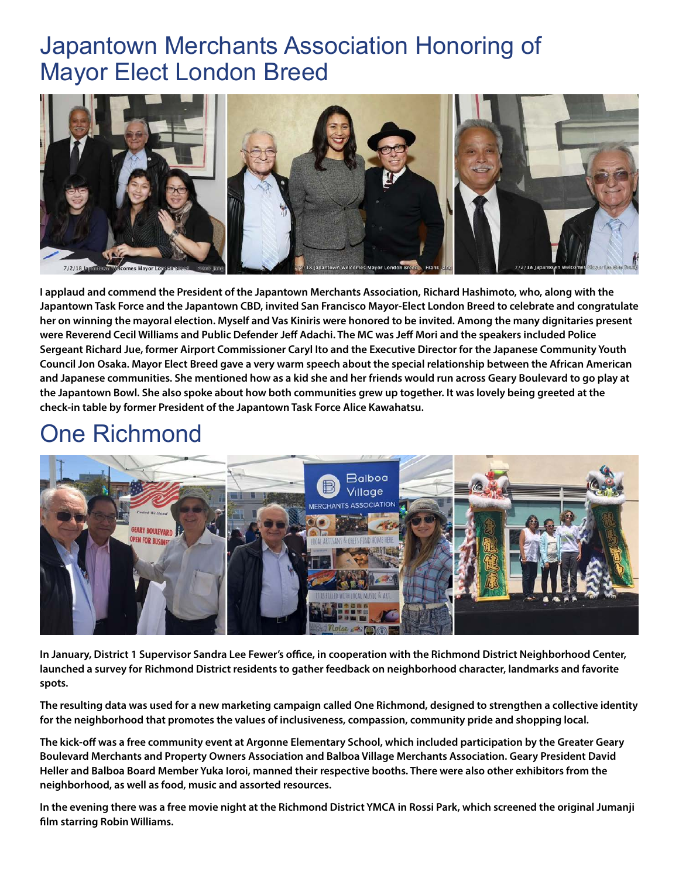#### Japantown Merchants Association Honoring of Mayor Elect London Breed



**I applaud and commend the President of the Japantown Merchants Association, Richard Hashimoto, who, along with the Japantown Task Force and the Japantown CBD, invited San Francisco Mayor-Elect London Breed to celebrate and congratulate her on winning the mayoral election. Myself and Vas Kiniris were honored to be invited. Among the many dignitaries present were Reverend Cecil Williams and Public Defender Jeff Adachi. The MC was Jeff Mori and the speakers included Police Sergeant Richard Jue, former Airport Commissioner Caryl Ito and the Executive Director for the Japanese Community Youth Council Jon Osaka. Mayor Elect Breed gave a very warm speech about the special relationship between the African American and Japanese communities. She mentioned how as a kid she and her friends would run across Geary Boulevard to go play at the Japantown Bowl. She also spoke about how both communities grew up together. It was lovely being greeted at the check-in table by former President of the Japantown Task Force Alice Kawahatsu.**

#### One Richmond



**In January, District 1 Supervisor Sandra Lee Fewer's office, in cooperation with the Richmond District Neighborhood Center, launched a survey for Richmond District residents to gather feedback on neighborhood character, landmarks and favorite spots.**

**The resulting data was used for a new marketing campaign called One Richmond, designed to strengthen a collective identity for the neighborhood that promotes the values of inclusiveness, compassion, community pride and shopping local.**

**The kick-off was a free community event at Argonne Elementary School, which included participation by the Greater Geary Boulevard Merchants and Property Owners Association and Balboa Village Merchants Association. Geary President David Heller and Balboa Board Member Yuka Ioroi, manned their respective booths. There were also other exhibitors from the neighborhood, as well as food, music and assorted resources.**

**In the evening there was a free movie night at the Richmond District YMCA in Rossi Park, which screened the original Jumanji film starring Robin Williams.**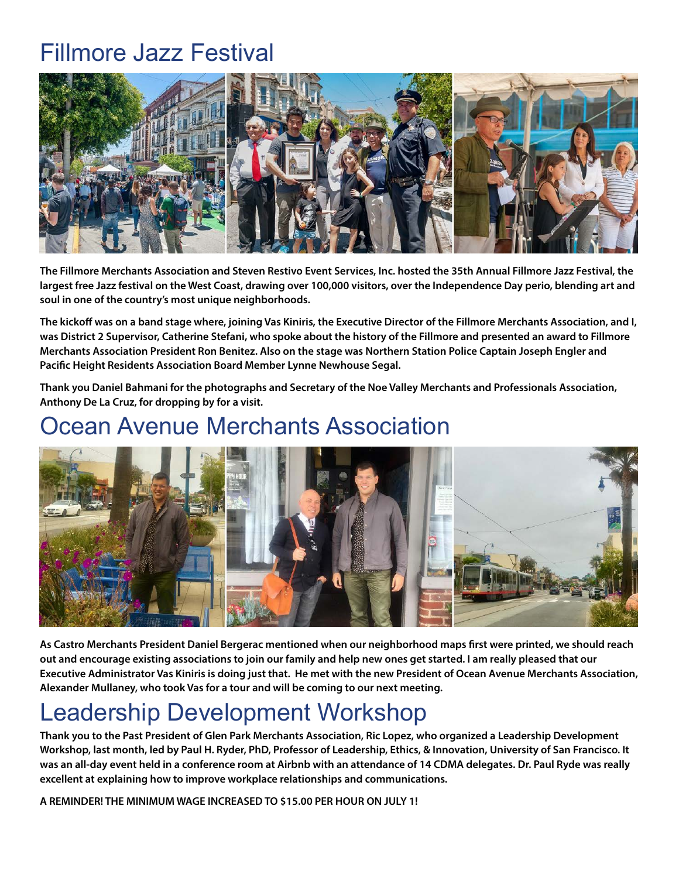#### Fillmore Jazz Festival



**The Fillmore Merchants Association and Steven Restivo Event Services, Inc. hosted the 35th Annual Fillmore Jazz Festival, the largest free Jazz festival on the West Coast, drawing over 100,000 visitors, over the Independence Day perio, blending art and soul in one of the country's most unique neighborhoods.**

**The kickoff was on a band stage where, joining Vas Kiniris, the Executive Director of the Fillmore Merchants Association, and I, was District 2 Supervisor, Catherine Stefani, who spoke about the history of the Fillmore and presented an award to Fillmore Merchants Association President Ron Benitez. Also on the stage was Northern Station Police Captain Joseph Engler and Pacific Height Residents Association Board Member Lynne Newhouse Segal.**

**Thank you Daniel Bahmani for the photographs and Secretary of the Noe Valley Merchants and Professionals Association, Anthony De La Cruz, for dropping by for a visit.**

## Ocean Avenue Merchants Association



**As Castro Merchants President Daniel Bergerac mentioned when our neighborhood maps first were printed, we should reach out and encourage existing associations to join our family and help new ones get started. I am really pleased that our Executive Administrator Vas Kiniris is doing just that. He met with the new President of Ocean Avenue Merchants Association, Alexander Mullaney, who took Vas for a tour and will be coming to our next meeting.**

# Leadership Development Workshop

**Thank you to the Past President of Glen Park Merchants Association, Ric Lopez, who organized a Leadership Development Workshop, last month, led by Paul H. Ryder, PhD, Professor of Leadership, Ethics, & Innovation, University of San Francisco. It was an all-day event held in a conference room at Airbnb with an attendance of 14 CDMA delegates. Dr. Paul Ryde was really excellent at explaining how to improve workplace relationships and communications.**

**A REMINDER! THE MINIMUM WAGE INCREASED TO \$15.00 PER HOUR ON JULY 1!**